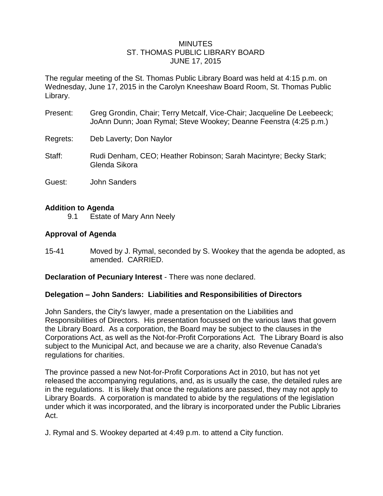### MINUTES ST. THOMAS PUBLIC LIBRARY BOARD JUNE 17, 2015

The regular meeting of the St. Thomas Public Library Board was held at 4:15 p.m. on Wednesday, June 17, 2015 in the Carolyn Kneeshaw Board Room, St. Thomas Public Library.

- Present: Greg Grondin, Chair; Terry Metcalf, Vice-Chair; Jacqueline De Leebeeck; JoAnn Dunn; Joan Rymal; Steve Wookey; Deanne Feenstra (4:25 p.m.)
- Regrets: Deb Laverty; Don Naylor
- Staff: Rudi Denham, CEO; Heather Robinson; Sarah Macintyre; Becky Stark; Glenda Sikora
- Guest: John Sanders

## **Addition to Agenda**

9.1 Estate of Mary Ann Neely

## **Approval of Agenda**

15-41 Moved by J. Rymal, seconded by S. Wookey that the agenda be adopted, as amended. CARRIED.

**Declaration of Pecuniary Interest** - There was none declared.

### **Delegation – John Sanders: Liabilities and Responsibilities of Directors**

John Sanders, the City's lawyer, made a presentation on the Liabilities and Responsibilities of Directors. His presentation focussed on the various laws that govern the Library Board. As a corporation, the Board may be subject to the clauses in the Corporations Act, as well as the Not-for-Profit Corporations Act. The Library Board is also subject to the Municipal Act, and because we are a charity, also Revenue Canada's regulations for charities.

The province passed a new Not-for-Profit Corporations Act in 2010, but has not yet released the accompanying regulations, and, as is usually the case, the detailed rules are in the regulations. It is likely that once the regulations are passed, they may not apply to Library Boards. A corporation is mandated to abide by the regulations of the legislation under which it was incorporated, and the library is incorporated under the Public Libraries Act.

J. Rymal and S. Wookey departed at 4:49 p.m. to attend a City function.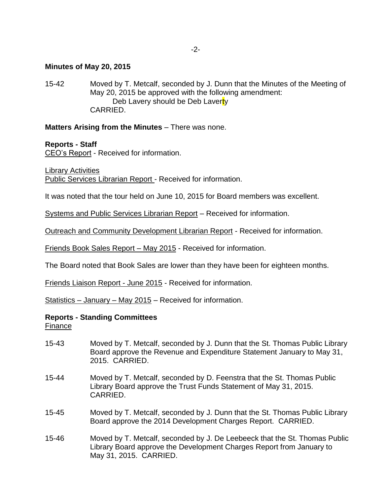#### **Minutes of May 20, 2015**

15-42 Moved by T. Metcalf, seconded by J. Dunn that the Minutes of the Meeting of May 20, 2015 be approved with the following amendment: Deb Lavery should be Deb Laverty CARRIED.

### **Matters Arising from the Minutes** – There was none.

#### **Reports - Staff**

CEO's Report - Received for information.

Library Activities

Public Services Librarian Report - Received for information.

It was noted that the tour held on June 10, 2015 for Board members was excellent.

Systems and Public Services Librarian Report – Received for information.

Outreach and Community Development Librarian Report - Received for information.

Friends Book Sales Report – May 2015 - Received for information.

The Board noted that Book Sales are lower than they have been for eighteen months.

Friends Liaison Report - June 2015 - Received for information.

Statistics – January – May 2015 – Received for information.

#### **Reports - Standing Committees**

Finance

- 15-43 Moved by T. Metcalf, seconded by J. Dunn that the St. Thomas Public Library Board approve the Revenue and Expenditure Statement January to May 31, 2015. CARRIED.
- 15-44 Moved by T. Metcalf, seconded by D. Feenstra that the St. Thomas Public Library Board approve the Trust Funds Statement of May 31, 2015. CARRIED.
- 15-45 Moved by T. Metcalf, seconded by J. Dunn that the St. Thomas Public Library Board approve the 2014 Development Charges Report. CARRIED.
- 15-46 Moved by T. Metcalf, seconded by J. De Leebeeck that the St. Thomas Public Library Board approve the Development Charges Report from January to May 31, 2015. CARRIED.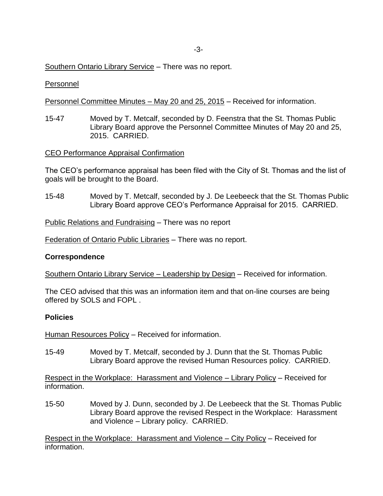## Southern Ontario Library Service – There was no report.

### Personnel

Personnel Committee Minutes – May 20 and 25, 2015 – Received for information.

15-47 Moved by T. Metcalf, seconded by D. Feenstra that the St. Thomas Public Library Board approve the Personnel Committee Minutes of May 20 and 25, 2015. CARRIED.

#### CEO Performance Appraisal Confirmation

The CEO's performance appraisal has been filed with the City of St. Thomas and the list of goals will be brought to the Board.

15-48 Moved by T. Metcalf, seconded by J. De Leebeeck that the St. Thomas Public Library Board approve CEO's Performance Appraisal for 2015. CARRIED.

Public Relations and Fundraising – There was no report

Federation of Ontario Public Libraries – There was no report.

#### **Correspondence**

Southern Ontario Library Service – Leadership by Design – Received for information.

The CEO advised that this was an information item and that on-line courses are being offered by SOLS and FOPL .

#### **Policies**

Human Resources Policy – Received for information.

15-49 Moved by T. Metcalf, seconded by J. Dunn that the St. Thomas Public Library Board approve the revised Human Resources policy. CARRIED.

Respect in the Workplace: Harassment and Violence – Library Policy – Received for information.

15-50 Moved by J. Dunn, seconded by J. De Leebeeck that the St. Thomas Public Library Board approve the revised Respect in the Workplace: Harassment and Violence – Library policy. CARRIED.

Respect in the Workplace: Harassment and Violence – City Policy – Received for information.